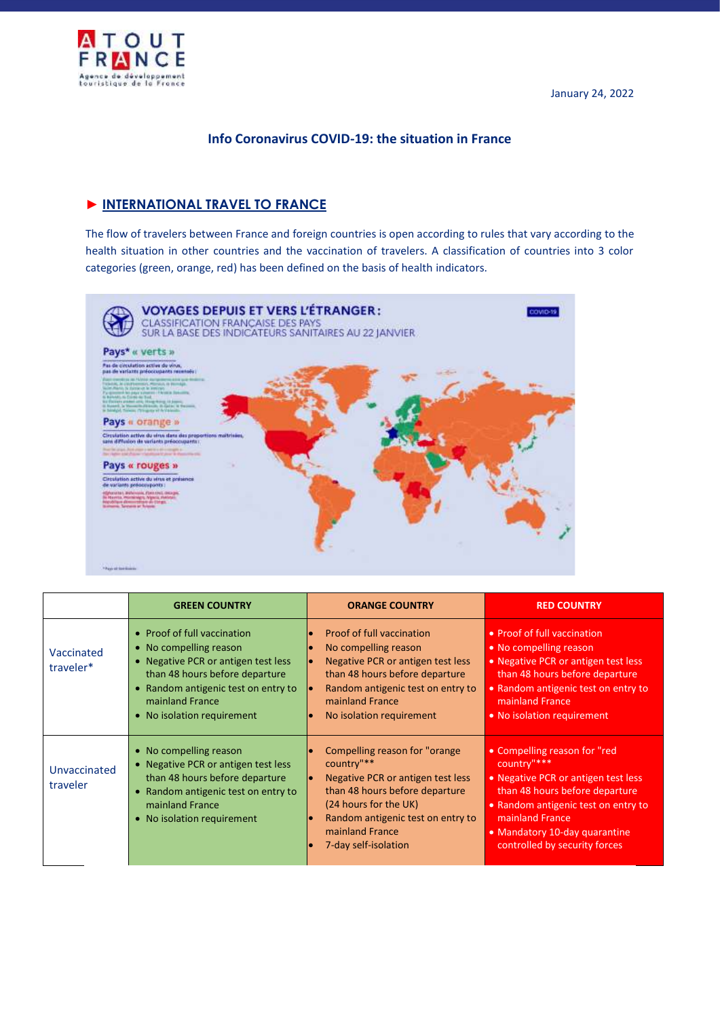

# **Info Coronavirus COVID-19: the situation in France**

# ► **INTERNATIONAL TRAVEL TO FRANCE**

The flow of travelers between France and foreign countries is open according to rules that vary according to the health situation in other countries and the vaccination of travelers. A classification of countries into 3 color categories (green, orange, red) has been defined on the basis of health indicators.



|                          | <b>GREEN COUNTRY</b>                                                                                                                                                                                                   | <b>ORANGE COUNTRY</b>                                                                                                                                                                                                        | <b>RED COUNTRY</b>                                                                                                                                                                                                                               |
|--------------------------|------------------------------------------------------------------------------------------------------------------------------------------------------------------------------------------------------------------------|------------------------------------------------------------------------------------------------------------------------------------------------------------------------------------------------------------------------------|--------------------------------------------------------------------------------------------------------------------------------------------------------------------------------------------------------------------------------------------------|
| Vaccinated<br>traveler*  | • Proof of full vaccination<br>• No compelling reason<br>• Negative PCR or antigen test less<br>than 48 hours before departure<br>• Random antigenic test on entry to<br>mainland France<br>• No isolation requirement | <b>Proof of full vaccination</b><br>No compelling reason<br><b>Negative PCR or antigen test less</b><br>than 48 hours before departure<br>Random antigenic test on entry to<br>mainland France<br>No isolation requirement   | • Proof of full vaccination<br>• No compelling reason<br>. Negative PCR or antigen test less<br>than 48 hours before departure<br>• Random antigenic test on entry to<br>mainland France<br>• No isolation requirement                           |
| Unvaccinated<br>traveler | • No compelling reason<br>• Negative PCR or antigen test less<br>than 48 hours before departure<br>• Random antigenic test on entry to<br>mainland France<br>• No isolation requirement                                | Compelling reason for "orange"<br>country"**<br>Negative PCR or antigen test less<br>than 48 hours before departure<br>(24 hours for the UK)<br>Random antigenic test on entry to<br>mainland France<br>7-day self-isolation | • Compelling reason for "red<br>country"***<br>• Negative PCR or antigen test less<br>than 48 hours before departure<br>• Random antigenic test on entry to<br>mainland France<br>• Mandatory 10-day quarantine<br>controlled by security forces |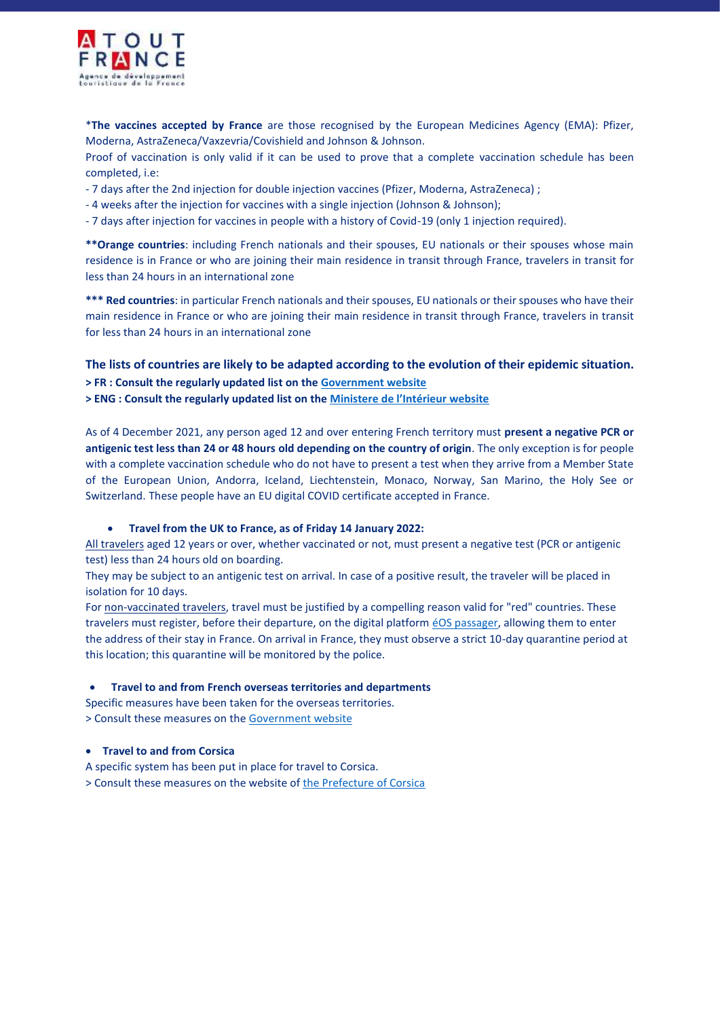

\***The vaccines accepted by France** are those recognised by the European Medicines Agency (EMA): Pfizer, Moderna, AstraZeneca/Vaxzevria/Covishield and Johnson & Johnson.

Proof of vaccination is only valid if it can be used to prove that a complete vaccination schedule has been completed, i.e:

- 7 days after the 2nd injection for double injection vaccines (Pfizer, Moderna, AstraZeneca) ;

- 4 weeks after the injection for vaccines with a single injection (Johnson & Johnson);

- 7 days after injection for vaccines in people with a history of Covid-19 (only 1 injection required).

**\*\*Orange countries**: including French nationals and their spouses, EU nationals or their spouses whose main residence is in France or who are joining their main residence in transit through France, travelers in transit for less than 24 hours in an international zone

**\*\*\* Red countries**: in particular French nationals and their spouses, EU nationals or their spouses who have their main residence in France or who are joining their main residence in transit through France, travelers in transit for less than 24 hours in an international zone

**The lists of countries are likely to be adapted according to the evolution of their epidemic situation. > FR : Consult the regularly updated list on th[e Government website](https://www.gouvernement.fr/info-coronavirus/deplacements)**

**> ENG : Consult the regularly updated list on the Ministe[re de l'Intérieur website](https://www.interieur.gouv.fr/Actualites/L-actu-du-Ministere/Certificate-of-international-travel)**

As of 4 December 2021, any person aged 12 and over entering French territory must **present a negative PCR or antigenic test less than 24 or 48 hours old depending on the country of origin**. The only exception is for people with a complete vaccination schedule who do not have to present a test when they arrive from a Member State of the European Union, Andorra, Iceland, Liechtenstein, Monaco, Norway, San Marino, the Holy See or Switzerland. These people have an EU digital COVID certificate accepted in France.

#### **Travel from the UK to France, as of Friday 14 January 2022:**

All travelers aged 12 years or over, whether vaccinated or not, must present a negative test (PCR or antigenic test) less than 24 hours old on boarding.

They may be subject to an antigenic test on arrival. In case of a positive result, the traveler will be placed in isolation for 10 days.

For non-vaccinated travelers, travel must be justified by a compelling reason valid for "red" countries. These travelers must register, before their departure, on the digital platfor[m éOS passager,](https://passager.serveureos.org/forms/) allowing them to enter the address of their stay in France. On arrival in France, they must observe a strict 10-day quarantine period at this location; this quarantine will be monitored by the police.

#### **Travel to and from French overseas territories and departments**

Specific measures have been taken for the overseas territories. > Consult these measures on the [Government website](https://www.gouvernement.fr/info-coronavirus/outre-mer)

#### **Travel to and from Corsica**

A specific system has been put in place for travel to Corsica.

> Consult these measures on the website o[f the Prefecture of Corsica](https://www.prefectures-regions.gouv.fr/corse/Documents-publications/Salle-de-presse/Communique-de-presse/Covid-19-dispositions-applicables-pour-les-deplacements-vers-et-a-partir-de-la-Corse#:~:text=A%20partir%20du%2010%20d%C3%A9cembre,version%20certificate%20from%20December%2010.2021)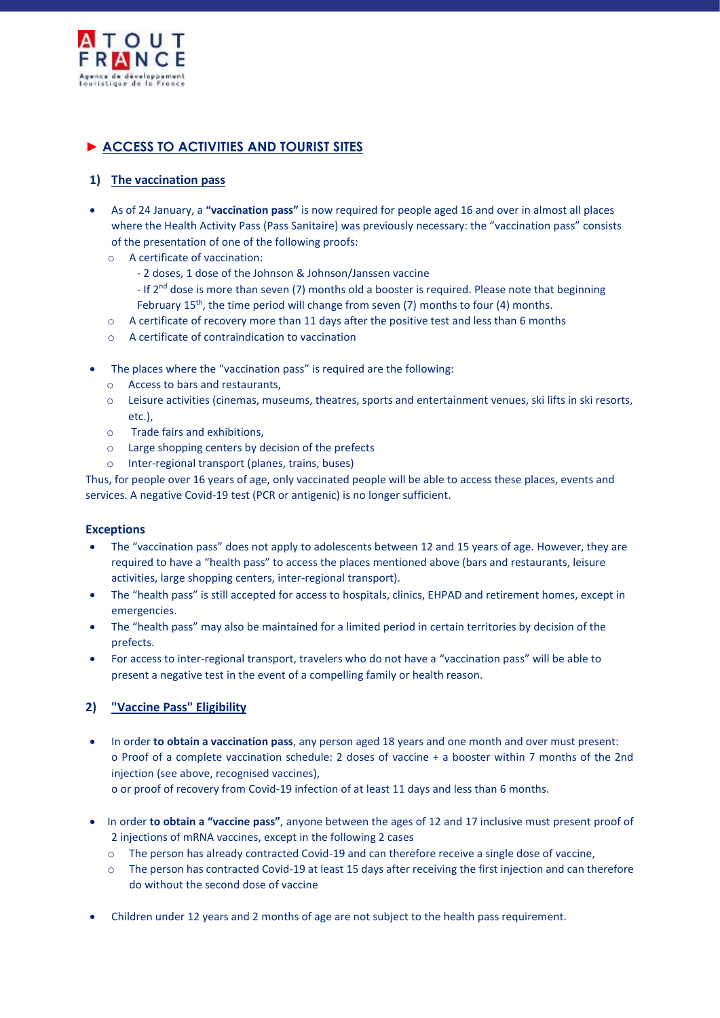

# ► **ACCESS TO ACTIVITIES AND TOURIST SITES**

## **1) The vaccination pass**

- As of 24 January, a **"vaccination pass"** is now required for people aged 16 and over in almost all places where the Health Activity Pass (Pass Sanitaire) was previously necessary: the "vaccination pass" consists of the presentation of one of the following proofs:
	- o A certificate of vaccination:
		- 2 doses, 1 dose of the Johnson & Johnson/Janssen vaccine
		- If 2<sup>nd</sup> dose is more than seven (7) months old a booster is required. Please note that beginning February  $15^{th}$ , the time period will change from seven (7) months to four (4) months.
	- o A certificate of recovery more than 11 days after the positive test and less than 6 months
	- o A certificate of contraindication to vaccination
- The places where the "vaccination pass" is required are the following:
	- o Access to bars and restaurants,
	- o Leisure activities (cinemas, museums, theatres, sports and entertainment venues, ski lifts in ski resorts, etc.),
	- o Trade fairs and exhibitions,
	- $\circ$  Large shopping centers by decision of the prefects
	- o Inter-regional transport (planes, trains, buses)

Thus, for people over 16 years of age, only vaccinated people will be able to access these places, events and services. A negative Covid-19 test (PCR or antigenic) is no longer sufficient.

### **Exceptions**

- The "vaccination pass" does not apply to adolescents between 12 and 15 years of age. However, they are required to have a "health pass" to access the places mentioned above (bars and restaurants, leisure activities, large shopping centers, inter-regional transport).
- The "health pass" is still accepted for access to hospitals, clinics, EHPAD and retirement homes, except in emergencies.
- The "health pass" may also be maintained for a limited period in certain territories by decision of the prefects.
- For access to inter-regional transport, travelers who do not have a "vaccination pass" will be able to present a negative test in the event of a compelling family or health reason.

# **2) "Vaccine Pass" Eligibility**

- In order **to obtain a vaccination pass**, any person aged 18 years and one month and over must present: o Proof of a complete vaccination schedule: 2 doses of vaccine + a booster within 7 months of the 2nd injection (see above, recognised vaccines), o or proof of recovery from Covid-19 infection of at least 11 days and less than 6 months.
- In order **to obtain a "vaccine pass"**, anyone between the ages of 12 and 17 inclusive must present proof of 2 injections of mRNA vaccines, except in the following 2 cases
	- o The person has already contracted Covid-19 and can therefore receive a single dose of vaccine,
	- o The person has contracted Covid-19 at least 15 days after receiving the first injection and can therefore do without the second dose of vaccine
- Children under 12 years and 2 months of age are not subject to the health pass requirement.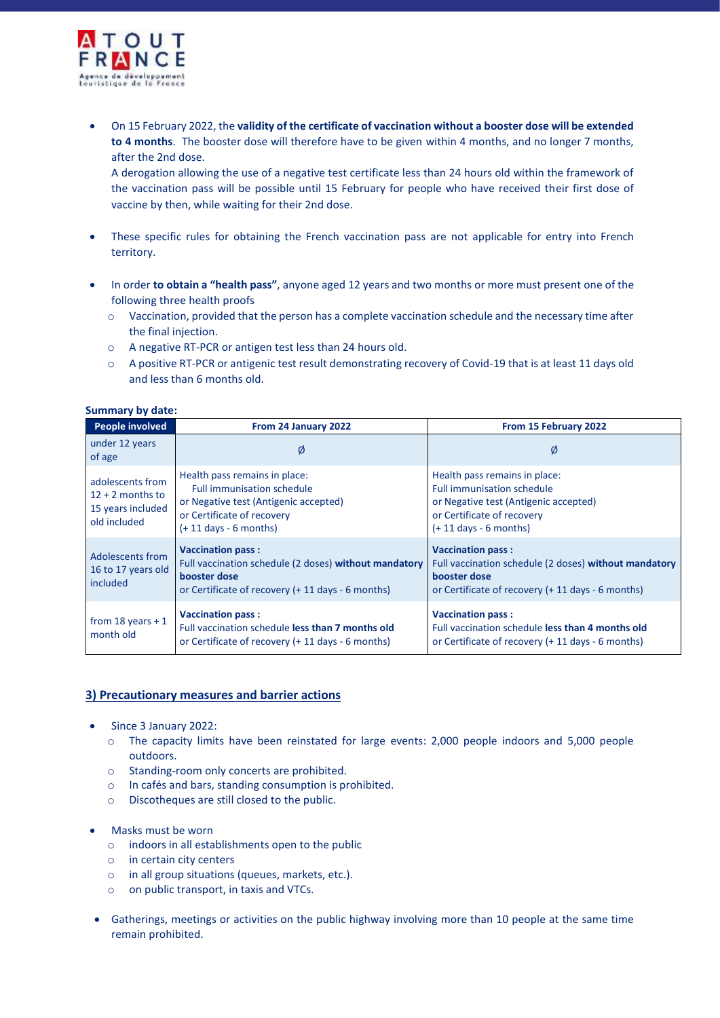

 On 15 February 2022, the **validity of the certificate of vaccination without a booster dose will be extended to 4 months**. The booster dose will therefore have to be given within 4 months, and no longer 7 months, after the 2nd dose.

A derogation allowing the use of a negative test certificate less than 24 hours old within the framework of the vaccination pass will be possible until 15 February for people who have received their first dose of vaccine by then, while waiting for their 2nd dose.

- These specific rules for obtaining the French vaccination pass are not applicable for entry into French territory.
- In order **to obtain a "health pass"**, anyone aged 12 years and two months or more must present one of the following three health proofs
	- o Vaccination, provided that the person has a complete vaccination schedule and the necessary time after the final injection.
	- o A negative RT-PCR or antigen test less than 24 hours old.
	- o A positive RT-PCR or antigenic test result demonstrating recovery of Covid-19 that is at least 11 days old and less than 6 months old.

#### **Summary by date:**

| <b>People involved</b>                                                      | From 24 January 2022                                                                                                                                                  | From 15 February 2022                                                                                                                                                 |
|-----------------------------------------------------------------------------|-----------------------------------------------------------------------------------------------------------------------------------------------------------------------|-----------------------------------------------------------------------------------------------------------------------------------------------------------------------|
| under 12 years<br>of age                                                    | Ø                                                                                                                                                                     | Ø                                                                                                                                                                     |
| adolescents from<br>$12 + 2$ months to<br>15 years included<br>old included | Health pass remains in place:<br><b>Full immunisation schedule</b><br>or Negative test (Antigenic accepted)<br>or Certificate of recovery<br>$(+ 11$ days - 6 months) | Health pass remains in place:<br><b>Full immunisation schedule</b><br>or Negative test (Antigenic accepted)<br>or Certificate of recovery<br>$(+ 11$ days - 6 months) |
| Adolescents from<br>16 to 17 years old<br>included                          | <b>Vaccination pass:</b><br>Full vaccination schedule (2 doses) without mandatory<br>booster dose<br>or Certificate of recovery (+ 11 days - 6 months)                | <b>Vaccination pass:</b><br>Full vaccination schedule (2 doses) without mandatory<br>booster dose<br>or Certificate of recovery (+ 11 days - 6 months)                |
| from 18 years $+1$<br>month old                                             | <b>Vaccination pass:</b><br>Full vaccination schedule less than 7 months old<br>or Certificate of recovery (+ 11 days - 6 months)                                     | <b>Vaccination pass:</b><br>Full vaccination schedule less than 4 months old<br>or Certificate of recovery (+ 11 days - 6 months)                                     |

### **3) Precautionary measures and barrier actions**

- Since 3 January 2022:
	- o The capacity limits have been reinstated for large events: 2,000 people indoors and 5,000 people outdoors.
	- o Standing-room only concerts are prohibited.
	- o In cafés and bars, standing consumption is prohibited.
	- o Discotheques are still closed to the public.
- Masks must be worn
	- o indoors in all establishments open to the public
	- o in certain city centers
	- o in all group situations (queues, markets, etc.).
	- o on public transport, in taxis and VTCs.
- Gatherings, meetings or activities on the public highway involving more than 10 people at the same time remain prohibited.